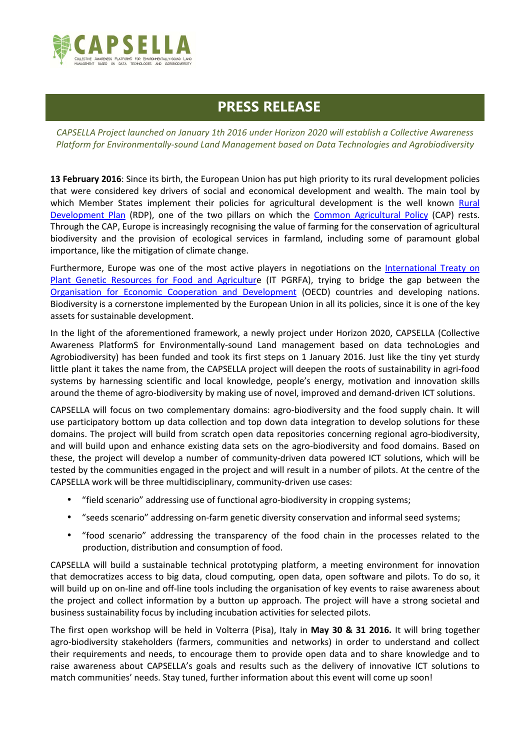

# **PRESS RELEASE**

*CAPSELLA Project launched on January 1th 2016 under Horizon 2020 will establish a Collective Awareness Platform for Environmentally-sound Land Management based on Data Technologies and Agrobiodiversity* 

**13 February 2016**: Since its birth, the European Union has put high priority to its rural development policies that were considered key drivers of social and economical development and wealth. The main tool by which Member States implement their policies for agricultural development is the well known Rural Development Plan (RDP), one of the two pillars on which the Common Agricultural Policy (CAP) rests. Through the CAP, Europe is increasingly recognising the value of farming for the conservation of agricultural biodiversity and the provision of ecological services in farmland, including some of paramount global importance, like the mitigation of climate change.

Furthermore, Europe was one of the most active players in negotiations on the International Treaty on Plant Genetic Resources for Food and Agriculture (IT PGRFA), trying to bridge the gap between the Organisation for Economic Cooperation and Development (OECD) countries and developing nations. Biodiversity is a cornerstone implemented by the European Union in all its policies, since it is one of the key assets for sustainable development.

In the light of the aforementioned framework, a newly project under Horizon 2020, CAPSELLA (Collective Awareness PlatformS for Environmentally-sound Land management based on data technoLogies and Agrobiodiversity) has been funded and took its first steps on 1 January 2016. Just like the tiny yet sturdy little plant it takes the name from, the CAPSELLA project will deepen the roots of sustainability in agri-food systems by harnessing scientific and local knowledge, people's energy, motivation and innovation skills around the theme of agro-biodiversity by making use of novel, improved and demand-driven ICT solutions.

CAPSELLA will focus on two complementary domains: agro-biodiversity and the food supply chain. It will use participatory bottom up data collection and top down data integration to develop solutions for these domains. The project will build from scratch open data repositories concerning regional agro-biodiversity, and will build upon and enhance existing data sets on the agro-biodiversity and food domains. Based on these, the project will develop a number of community-driven data powered ICT solutions, which will be tested by the communities engaged in the project and will result in a number of pilots. At the centre of the CAPSELLA work will be three multidisciplinary, community-driven use cases:

- "field scenario" addressing use of functional agro-biodiversity in cropping systems;
- "seeds scenario" addressing on-farm genetic diversity conservation and informal seed systems;
- "food scenario" addressing the transparency of the food chain in the processes related to the production, distribution and consumption of food.

CAPSELLA will build a sustainable technical prototyping platform, a meeting environment for innovation that democratizes access to big data, cloud computing, open data, open software and pilots. To do so, it will build up on on-line and off-line tools including the organisation of key events to raise awareness about the project and collect information by a button up approach. The project will have a strong societal and business sustainability focus by including incubation activities for selected pilots.

The first open workshop will be held in Volterra (Pisa), Italy in **May 30 & 31 2016.** It will bring together agro-biodiversity stakeholders (farmers, communities and networks) in order to understand and collect their requirements and needs, to encourage them to provide open data and to share knowledge and to raise awareness about CAPSELLA's goals and results such as the delivery of innovative ICT solutions to match communities' needs. Stay tuned, further information about this event will come up soon!